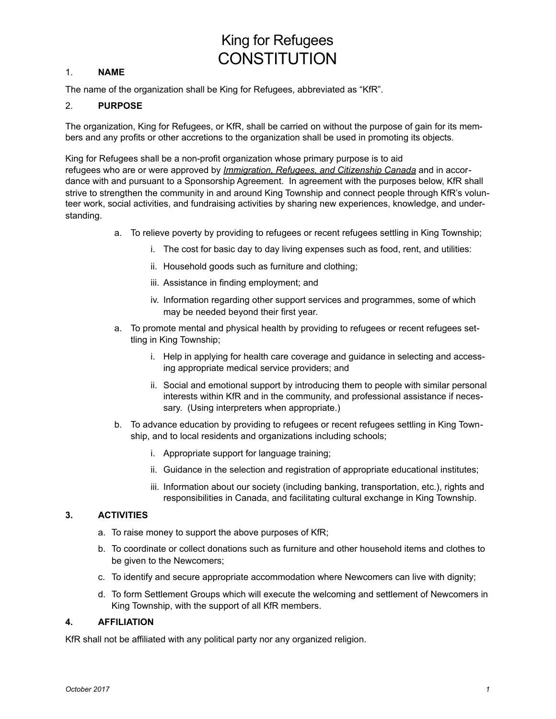# King for Refugees **CONSTITUTION**

# 1. **NAME**

The name of the organization shall be King for Refugees, abbreviated as "KfR".

# 2. **PURPOSE**

The organization, King for Refugees, or KfR, shall be carried on without the purpose of gain for its members and any profits or other accretions to the organization shall be used in promoting its objects.

King for Refugees shall be a non-profit organization whose primary purpose is to aid refugees who are or were approved by *Immigration, Refugees, and Citizenship Canada* and in accordance with and pursuant to a Sponsorship Agreement. In agreement with the purposes below, KfR shall strive to strengthen the community in and around King Township and connect people through KfR's volunteer work, social activities, and fundraising activities by sharing new experiences, knowledge, and understanding.

- a. To relieve poverty by providing to refugees or recent refugees settling in King Township;
	- i. The cost for basic day to day living expenses such as food, rent, and utilities:
	- ii. Household goods such as furniture and clothing;
	- iii. Assistance in finding employment; and
	- iv. Information regarding other support services and programmes, some of which may be needed beyond their first year.
- a. To promote mental and physical health by providing to refugees or recent refugees settling in King Township;
	- i. Help in applying for health care coverage and guidance in selecting and accessing appropriate medical service providers; and
	- ii. Social and emotional support by introducing them to people with similar personal interests within KfR and in the community, and professional assistance if necessary. (Using interpreters when appropriate.)
- b. To advance education by providing to refugees or recent refugees settling in King Township, and to local residents and organizations including schools;
	- i. Appropriate support for language training;
	- ii. Guidance in the selection and registration of appropriate educational institutes;
	- iii. Information about our society (including banking, transportation, etc.), rights and responsibilities in Canada, and facilitating cultural exchange in King Township.

# **3. ACTIVITIES**

- a. To raise money to support the above purposes of KfR;
- b. To coordinate or collect donations such as furniture and other household items and clothes to be given to the Newcomers;
- c. To identify and secure appropriate accommodation where Newcomers can live with dignity;
- d. To form Settlement Groups which will execute the welcoming and settlement of Newcomers in King Township, with the support of all KfR members.

# **4. AFFILIATION**

KfR shall not be affiliated with any political party nor any organized religion.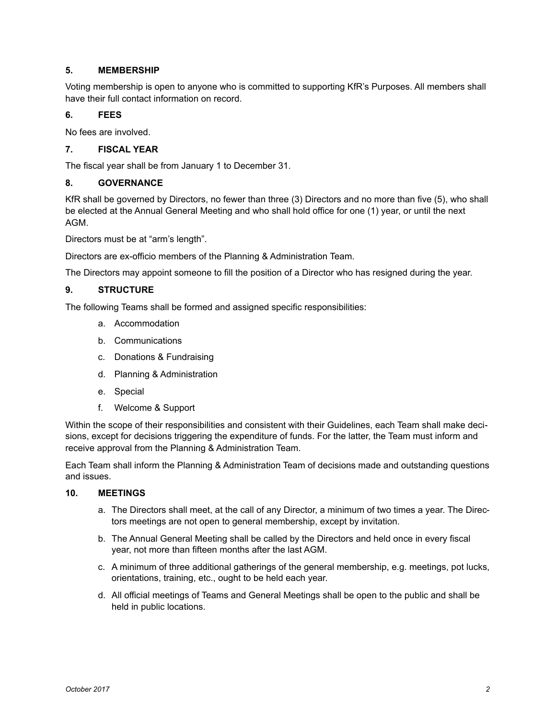# **5. MEMBERSHIP**

Voting membership is open to anyone who is committed to supporting KfR's Purposes. All members shall have their full contact information on record.

# **6. FEES**

No fees are involved.

# **7. FISCAL YEAR**

The fiscal year shall be from January 1 to December 31.

#### **8. GOVERNANCE**

KfR shall be governed by Directors, no fewer than three (3) Directors and no more than five (5), who shall be elected at the Annual General Meeting and who shall hold office for one (1) year, or until the next AGM.

Directors must be at "arm's length".

Directors are ex-officio members of the Planning & Administration Team.

The Directors may appoint someone to fill the position of a Director who has resigned during the year.

# **9. STRUCTURE**

The following Teams shall be formed and assigned specific responsibilities:

- a. Accommodation
- b. Communications
- c. Donations & Fundraising
- d. Planning & Administration
- e. Special
- f. Welcome & Support

Within the scope of their responsibilities and consistent with their Guidelines, each Team shall make decisions, except for decisions triggering the expenditure of funds. For the latter, the Team must inform and receive approval from the Planning & Administration Team.

Each Team shall inform the Planning & Administration Team of decisions made and outstanding questions and issues.

#### **10. MEETINGS**

- a. The Directors shall meet, at the call of any Director, a minimum of two times a year. The Directors meetings are not open to general membership, except by invitation.
- b. The Annual General Meeting shall be called by the Directors and held once in every fiscal year, not more than fifteen months after the last AGM.
- c. A minimum of three additional gatherings of the general membership, e.g. meetings, pot lucks, orientations, training, etc., ought to be held each year.
- d. All official meetings of Teams and General Meetings shall be open to the public and shall be held in public locations.